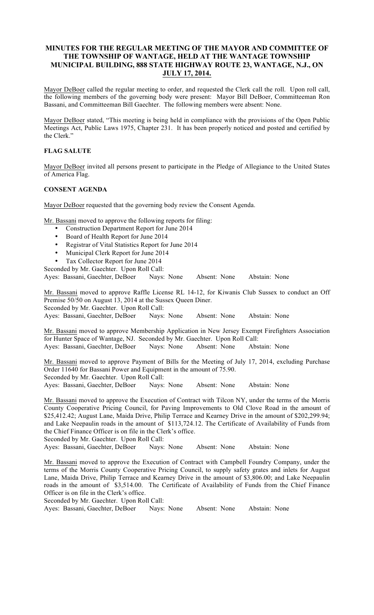## MINUTES FOR THE REGULAR MEETING OF THE MAYOR AND COMMITTEE OF THE TOWNSHIP OF WANTAGE, HELD AT THE WANTAGE TOWNSHIP MUNICIPAL BUILDING, 888 STATE HIGHWAY ROUTE 23, WANTAGE, N.J., ON JULY 17, 2014.

Mayor DeBoer called the regular meeting to order, and requested the Clerk call the roll. Upon roll call, the following members of the governing body were present: Mayor Bill DeBoer, Committeeman Ron Bassani, and Committeeman Bill Gaechter. The following members were absent: None.

Mayor DeBoer stated, "This meeting is being held in compliance with the provisions of the Open Public Meetings Act, Public Laws 1975, Chapter 231. It has been properly noticed and posted and certified by the Clerk."

### FLAG SALUTE

Mayor DeBoer invited all persons present to participate in the Pledge of Allegiance to the United States of America Flag.

### CONSENT AGENDA

Mayor DeBoer requested that the governing body review the Consent Agenda.

Mr. Bassani moved to approve the following reports for filing:

- Construction Department Report for June 2014
- Board of Health Report for June 2014
- Registrar of Vital Statistics Report for June 2014
- Municipal Clerk Report for June 2014
- Tax Collector Report for June 2014
- Seconded by Mr. Gaechter. Upon Roll Call:

Ayes: Bassani, Gaechter, DeBoer Nays: None Absent: None Abstain: None

Mr. Bassani moved to approve Raffle License RL 14-12, for Kiwanis Club Sussex to conduct an Off Premise 50/50 on August 13, 2014 at the Sussex Queen Diner. Seconded by Mr. Gaechter. Upon Roll Call:

Ayes: Bassani, Gaechter, DeBoer Nays: None Absent: None Abstain: None

Mr. Bassani moved to approve Membership Application in New Jersey Exempt Firefighters Association for Hunter Space of Wantage, NJ. Seconded by Mr. Gaechter. Upon Roll Call: Ayes: Bassani, Gaechter, DeBoer Nays: None Absent: None Abstain: None

Mr. Bassani moved to approve Payment of Bills for the Meeting of July 17, 2014, excluding Purchase Order 11640 for Bassani Power and Equipment in the amount of 75.90. Seconded by Mr. Gaechter. Upon Roll Call: Ayes: Bassani, Gaechter, DeBoer Nays: None Absent: None Abstain: None

Mr. Bassani moved to approve the Execution of Contract with Tilcon NY, under the terms of the Morris County Cooperative Pricing Council, for Paving Improvements to Old Clove Road in the amount of \$25,412.42; August Lane, Maida Drive, Philip Terrace and Kearney Drive in the amount of \$202,299.94; and Lake Neepaulin roads in the amount of \$113,724.12. The Certificate of Availability of Funds from the Chief Finance Officer is on file in the Clerk's office.

Seconded by Mr. Gaechter. Upon Roll Call:

Ayes: Bassani, Gaechter, DeBoer Nays: None Absent: None Abstain: None

Mr. Bassani moved to approve the Execution of Contract with Campbell Foundry Company, under the terms of the Morris County Cooperative Pricing Council, to supply safety grates and inlets for August Lane, Maida Drive, Philip Terrace and Kearney Drive in the amount of \$3,806.00; and Lake Neepaulin roads in the amount of \$3,514.00. The Certificate of Availability of Funds from the Chief Finance Officer is on file in the Clerk's office.

Seconded by Mr. Gaechter. Upon Roll Call:

Ayes: Bassani, Gaechter, DeBoer Nays: None Absent: None Abstain: None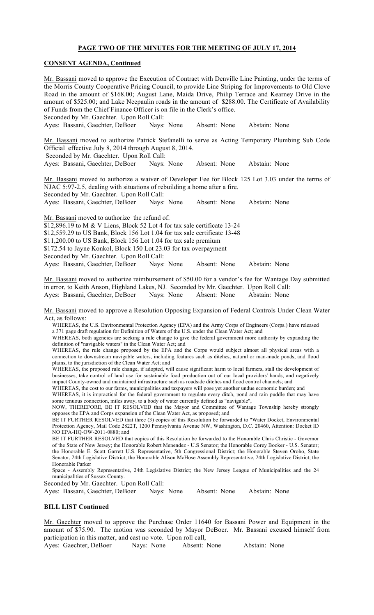# PAGE TWO OF THE MINUTES FOR THE MEETING OF JULY 17, 2014

### CONSENT AGENDA, Continued

| Mr. Bassani moved to approve the Execution of Contract with Denville Line Painting, under the terms of<br>the Morris County Cooperative Pricing Council, to provide Line Striping for Improvements to Old Clove<br>Road in the amount of \$168.00; August Lane, Maida Drive, Philip Terrace and Kearney Drive in the<br>amount of \$525.00; and Lake Neepaulin roads in the amount of \$288.00. The Certificate of Availability<br>of Funds from the Chief Finance Officer is on file in the Clerk's office.<br>Seconded by Mr. Gaechter. Upon Roll Call:                                                                                                                                                                                                                                                                                                                                                                                                                                                                                                                                                                                                                                                                                                                                                                                                                                                                                                                                                                                                                                                                                                                                                                                                                                                                                       |            |                         |              |  |               |  |  |  |
|-------------------------------------------------------------------------------------------------------------------------------------------------------------------------------------------------------------------------------------------------------------------------------------------------------------------------------------------------------------------------------------------------------------------------------------------------------------------------------------------------------------------------------------------------------------------------------------------------------------------------------------------------------------------------------------------------------------------------------------------------------------------------------------------------------------------------------------------------------------------------------------------------------------------------------------------------------------------------------------------------------------------------------------------------------------------------------------------------------------------------------------------------------------------------------------------------------------------------------------------------------------------------------------------------------------------------------------------------------------------------------------------------------------------------------------------------------------------------------------------------------------------------------------------------------------------------------------------------------------------------------------------------------------------------------------------------------------------------------------------------------------------------------------------------------------------------------------------------|------------|-------------------------|--------------|--|---------------|--|--|--|
| Ayes: Bassani, Gaechter, DeBoer                                                                                                                                                                                                                                                                                                                                                                                                                                                                                                                                                                                                                                                                                                                                                                                                                                                                                                                                                                                                                                                                                                                                                                                                                                                                                                                                                                                                                                                                                                                                                                                                                                                                                                                                                                                                                 | Nays: None |                         | Absent: None |  | Abstain: None |  |  |  |
| Mr. Bassani moved to authorize Patrick Stefanelli to serve as Acting Temporary Plumbing Sub Code<br>Official effective July 8, 2014 through August 8, 2014.<br>Seconded by Mr. Gaechter. Upon Roll Call:                                                                                                                                                                                                                                                                                                                                                                                                                                                                                                                                                                                                                                                                                                                                                                                                                                                                                                                                                                                                                                                                                                                                                                                                                                                                                                                                                                                                                                                                                                                                                                                                                                        |            |                         |              |  |               |  |  |  |
| Ayes: Bassani, Gaechter, DeBoer Nays: None                                                                                                                                                                                                                                                                                                                                                                                                                                                                                                                                                                                                                                                                                                                                                                                                                                                                                                                                                                                                                                                                                                                                                                                                                                                                                                                                                                                                                                                                                                                                                                                                                                                                                                                                                                                                      |            |                         | Absent: None |  | Abstain: None |  |  |  |
| Mr. Bassani moved to authorize a waiver of Developer Fee for Block 125 Lot 3.03 under the terms of<br>NJAC 5:97-2.5, dealing with situations of rebuilding a home after a fire.<br>Seconded by Mr. Gaechter. Upon Roll Call:                                                                                                                                                                                                                                                                                                                                                                                                                                                                                                                                                                                                                                                                                                                                                                                                                                                                                                                                                                                                                                                                                                                                                                                                                                                                                                                                                                                                                                                                                                                                                                                                                    |            |                         |              |  |               |  |  |  |
| Ayes: Bassani, Gaechter, DeBoer                                                                                                                                                                                                                                                                                                                                                                                                                                                                                                                                                                                                                                                                                                                                                                                                                                                                                                                                                                                                                                                                                                                                                                                                                                                                                                                                                                                                                                                                                                                                                                                                                                                                                                                                                                                                                 | Nays: None |                         | Absent: None |  | Abstain: None |  |  |  |
| Mr. Bassani moved to authorize the refund of:<br>\$12,896.19 to M & V Liens, Block 52 Lot 4 for tax sale certificate 13-24<br>\$12,559.29 to US Bank, Block 156 Lot 1.04 for tax sale certificate 13-48<br>\$11,200.00 to US Bank, Block 156 Lot 1.04 for tax sale premium<br>\$172.54 to Jayne Konkol, Block 150 Lot 23.03 for tax overpayment<br>Seconded by Mr. Gaechter. Upon Roll Call:                                                                                                                                                                                                                                                                                                                                                                                                                                                                                                                                                                                                                                                                                                                                                                                                                                                                                                                                                                                                                                                                                                                                                                                                                                                                                                                                                                                                                                                    |            |                         |              |  |               |  |  |  |
| Ayes: Bassani, Gaechter, DeBoer                                                                                                                                                                                                                                                                                                                                                                                                                                                                                                                                                                                                                                                                                                                                                                                                                                                                                                                                                                                                                                                                                                                                                                                                                                                                                                                                                                                                                                                                                                                                                                                                                                                                                                                                                                                                                 | Nays: None |                         | Absent: None |  | Abstain: None |  |  |  |
| Mr. Bassani moved to authorize reimbursement of \$50.00 for a vendor's fee for Wantage Day submitted<br>in error, to Keith Anson, Highland Lakes, NJ. Seconded by Mr. Gaechter. Upon Roll Call:<br>Ayes: Bassani, Gaechter, DeBoer                                                                                                                                                                                                                                                                                                                                                                                                                                                                                                                                                                                                                                                                                                                                                                                                                                                                                                                                                                                                                                                                                                                                                                                                                                                                                                                                                                                                                                                                                                                                                                                                              |            | Nays: None Absent: None |              |  | Abstain: None |  |  |  |
| Mr. Bassani moved to approve a Resolution Opposing Expansion of Federal Controls Under Clean Water                                                                                                                                                                                                                                                                                                                                                                                                                                                                                                                                                                                                                                                                                                                                                                                                                                                                                                                                                                                                                                                                                                                                                                                                                                                                                                                                                                                                                                                                                                                                                                                                                                                                                                                                              |            |                         |              |  |               |  |  |  |
| Act, as follows:<br>WHEREAS, the U.S. Environmental Protection Agency (EPA) and the Army Corps of Engineers (Corps.) have released<br>a 371 page draft regulation for Definition of Waters of the U.S. under the Clean Water Act; and<br>WHEREAS, both agencies are seeking a rule change to give the federal government more authority by expanding the<br>definition of "navigable waters" in the Clean Water Act; and<br>WHEREAS, the rule change proposed by the EPA and the Corps would subject almost all physical areas with a<br>connection to downstream navigable waters, including features such as ditches, natural or man-made ponds, and flood<br>plains, to the jurisdiction of the Clean Water Act; and<br>WHEREAS, the proposed rule change, if adopted, will cause significant harm to local farmers, stall the development of<br>businesses, take control of land use for sustainable food production out of our local providers' hands, and negatively<br>impact County-owned and maintained infrastructure such as roadside ditches and flood control channels; and<br>WHEREAS, the cost to our farms, municipalities and taxpayers will pose yet another undue economic burden; and<br>WHEREAS, it is impractical for the federal government to regulate every ditch, pond and rain puddle that may have<br>some tenuous connection, miles away, to a body of water currently defined as "navigable",<br>NOW, THEREFORE, BE IT RESOLVED that the Mayor and Committee of Wantage Township hereby strongly<br>opposes the EPA and Corps expansion of the Clean Water Act, as proposed; and<br>BE IT FURTHER RESOLVED that three (3) copies of this Resolution be forwarded to "Water Docket, Environmental<br>Protection Agency, Mail Code 2822T, 1200 Pennsylvania Avenue NW, Washington, D.C. 20460, Attention: Docket ID |            |                         |              |  |               |  |  |  |
| NO EPA-HQ-OW-2011-0880; and<br>DE IT EUDTHED DECOUVED that copies of this Besolution be forwarded to the Henerald Chris Christie. Governor                                                                                                                                                                                                                                                                                                                                                                                                                                                                                                                                                                                                                                                                                                                                                                                                                                                                                                                                                                                                                                                                                                                                                                                                                                                                                                                                                                                                                                                                                                                                                                                                                                                                                                      |            |                         |              |  |               |  |  |  |

BE IT FURTHER RESOLVED that copies of this Resolution be forwarded to the Honorable Chris Christie - Governor of the State of New Jersey; the Honorable Robert Menendez - U.S Senator; the Honorable Corey Booker - U.S. Senator; the Honorable E. Scott Garrett U.S. Representative, 5th Congressional District; the Honorable Steven Oroho, State Senator, 24th Legislative District; the Honorable Alison McHose Assembly Representative, 24th Legislative District; the Honorable Parker

Space - Assembly Representative, 24th Legislative District; the New Jersey League of Municipalities and the 24 municipalities of Sussex County.

Seconded by Mr. Gaechter. Upon Roll Call:

Ayes: Bassani, Gaechter, DeBoer Nays: None Absent: None Abstain: None

### BILL LIST Continued

Mr. Gaechter moved to approve the Purchase Order 11640 for Bassani Power and Equipment in the amount of \$75.90. The motion was seconded by Mayor DeBoer. Mr. Bassani excused himself from participation in this matter, and cast no vote. Upon roll call,<br>Ayes: Gaechter, DeBoer Nays: None Absent: None

Ayes: Gaechter, DeBoer Nays: None Absent: None Abstain: None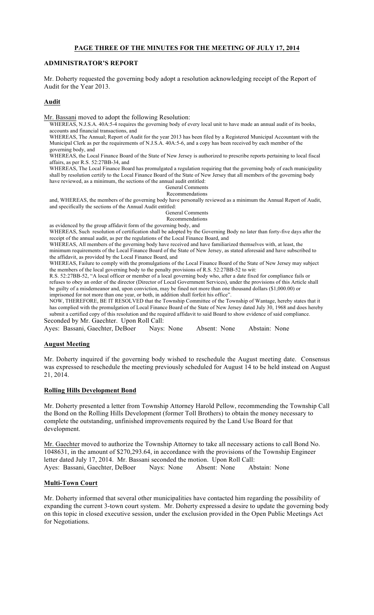### PAGE THREE OF THE MINUTES FOR THE MEETING OF JULY 17, 2014

#### ADMINISTRATOR'S REPORT

Mr. Doherty requested the governing body adopt a resolution acknowledging receipt of the Report of Audit for the Year 2013.

#### Audit

Mr. Bassani moved to adopt the following Resolution:

WHEREAS, N.J.S.A. 40A:5-4 requires the governing body of every local unit to have made an annual audit of its books, accounts and financial transactions, and

WHEREAS, The Annual; Report of Audit for the year 2013 has been filed by a Registered Municipal Accountant with the Municipal Clerk as per the requirements of N.J.S.A. 40A:5-6, and a copy has been received by each member of the governing body, and

WHEREAS, the Local Finance Board of the State of New Jersey is authorized to prescribe reports pertaining to local fiscal affairs, as per R.S. 52:27BB-34, and

WHEREAS, The Local Finance Board has promulgated a regulation requiring that the governing body of each municipality shall by resolution certify to the Local Finance Board of the State of New Jersey that all members of the governing body have reviewed, as a minimum, the sections of the annual audit entitled:

General Comments

Recommendations and, WHEREAS, the members of the governing body have personally reviewed as a minimum the Annual Report of Audit,

and specifically the sections of the Annual Audit entitled:

General Comments

Recommendations

as evidenced by the group affidavit form of the governing body, and WHEREAS, Such resolution of certification shall be adopted by the Governing Body no later than forty-five days after the receipt of the annual audit, as per the regulations of the Local Finance Board, and

WHEREAS, All members of the governing body have received and have familiarized themselves with, at least, the

minimum requirements of the Local Finance Board of the State of New Jersey, as stated aforesaid and have subscribed to the affidavit, as provided by the Local Finance Board, and

WHEREAS, Failure to comply with the promulgations of the Local Finance Board of the State of New Jersey may subject the members of the local governing body to the penalty provisions of R.S. 52:27BB-52 to wit:

R.S. 52:27BB-52, "A local officer or member of a local governing body who, after a date fixed for compliance fails or refuses to obey an order of the director (Director of Local Government Services), under the provisions of this Article shall be guilty of a misdemeanor and, upon conviction, may be fined not more than one thousand dollars (\$1,000.00) or imprisoned for not more than one year, or both, in addition shall forfeit his office".

NOW, THEREFORE, BE IT RESOLVED that the Township Committee of the Township of Wantage, hereby states that it has complied with the promulgation of Local Finance Board of the State of New Jersey dated July 30, 1968 and does hereby submit a certified copy of this resolution and the required affidavit to said Board to show evidence of said compliance. Seconded by Mr. Gaechter. Upon Roll Call:

Ayes: Bassani, Gaechter, DeBoer Nays: None Absent: None Abstain: None

#### August Meeting

Mr. Doherty inquired if the governing body wished to reschedule the August meeting date. Consensus was expressed to reschedule the meeting previously scheduled for August 14 to be held instead on August 21, 2014.

#### Rolling Hills Development Bond

Mr. Doherty presented a letter from Township Attorney Harold Pellow, recommending the Township Call the Bond on the Rolling Hills Development (former Toll Brothers) to obtain the money necessary to complete the outstanding, unfinished improvements required by the Land Use Board for that development.

Mr. Gaechter moved to authorize the Township Attorney to take all necessary actions to call Bond No. 1048631, in the amount of \$270,293.64, in accordance with the provisions of the Township Engineer letter dated July 17, 2014. Mr. Bassani seconded the motion. Upon Roll Call: Ayes: Bassani, Gaechter, DeBoer Nays: None Absent: None Abstain: None

#### Multi-Town Court

Mr. Doherty informed that several other municipalities have contacted him regarding the possibility of expanding the current 3-town court system. Mr. Doherty expressed a desire to update the governing body on this topic in closed executive session, under the exclusion provided in the Open Public Meetings Act for Negotiations.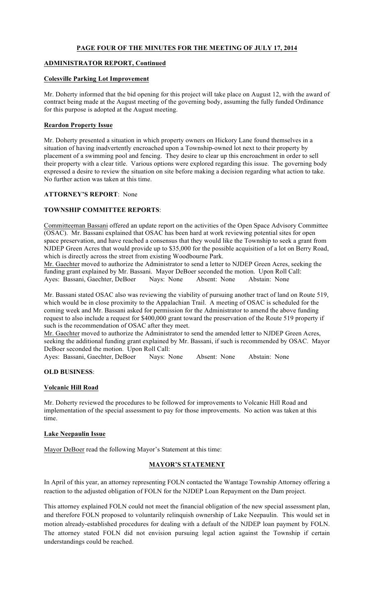## PAGE FOUR OF THE MINUTES FOR THE MEETING OF JULY 17, 2014

### ADMINISTRATOR REPORT, Continued

#### Colesville Parking Lot Improvement

Mr. Doherty informed that the bid opening for this project will take place on August 12, with the award of contract being made at the August meeting of the governing body, assuming the fully funded Ordinance for this purpose is adopted at the August meeting.

## Reardon Property Issue

Mr. Doherty presented a situation in which property owners on Hickory Lane found themselves in a situation of having inadvertently encroached upon a Township-owned lot next to their property by placement of a swimming pool and fencing. They desire to clear up this encroachment in order to sell their property with a clear title. Various options were explored regarding this issue. The governing body expressed a desire to review the situation on site before making a decision regarding what action to take. No further action was taken at this time.

#### ATTORNEY'S REPORT: None

### TOWNSHIP COMMITTEE REPORTS:

Committeeman Bassani offered an update report on the activities of the Open Space Advisory Committee (OSAC). Mr. Bassani explained that OSAC has been hard at work reviewing potential sites for open space preservation, and have reached a consensus that they would like the Township to seek a grant from NJDEP Green Acres that would provide up to \$35,000 for the possible acquisition of a lot on Berry Road, which is directly across the street from existing Woodbourne Park.

Mr. Gaechter moved to authorize the Administrator to send a letter to NJDEP Green Acres, seeking the funding grant explained by Mr. Bassani. Mayor DeBoer seconded the motion. Upon Roll Call: Ayes: Bassani, Gaechter, DeBoer Nays: None Absent: None Abstain: None

Mr. Bassani stated OSAC also was reviewing the viability of pursuing another tract of land on Route 519, which would be in close proximity to the Appalachian Trail. A meeting of OSAC is scheduled for the coming week and Mr. Bassani asked for permission for the Administrator to amend the above funding request to also include a request for \$400,000 grant toward the preservation of the Route 519 property if such is the recommendation of OSAC after they meet.

Mr. Gaechter moved to authorize the Administrator to send the amended letter to NJDEP Green Acres, seeking the additional funding grant explained by Mr. Bassani, if such is recommended by OSAC. Mayor DeBoer seconded the motion. Upon Roll Call:

Ayes: Bassani, Gaechter, DeBoer Nays: None Absent: None Abstain: None

### OLD BUSINESS:

### Volcanic Hill Road

Mr. Doherty reviewed the procedures to be followed for improvements to Volcanic Hill Road and implementation of the special assessment to pay for those improvements. No action was taken at this time.

#### Lake Neepaulin Issue

Mayor DeBoer read the following Mayor's Statement at this time:

### MAYOR'S STATEMENT

In April of this year, an attorney representing FOLN contacted the Wantage Township Attorney offering a reaction to the adjusted obligation of FOLN for the NJDEP Loan Repayment on the Dam project.

This attorney explained FOLN could not meet the financial obligation of the new special assessment plan, and therefore FOLN proposed to voluntarily relinquish ownership of Lake Neepaulin. This would set in motion already-established procedures for dealing with a default of the NJDEP loan payment by FOLN. The attorney stated FOLN did not envision pursuing legal action against the Township if certain understandings could be reached.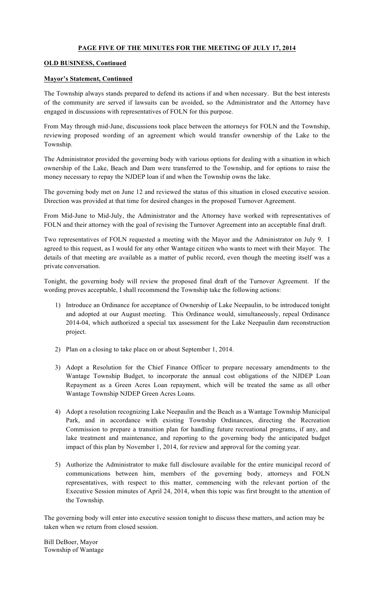## PAGE FIVE OF THE MINUTES FOR THE MEETING OF JULY 17, 2014

### OLD BUSINESS, Continued

### Mayor's Statement, Continued

The Township always stands prepared to defend its actions if and when necessary. But the best interests of the community are served if lawsuits can be avoided, so the Administrator and the Attorney have engaged in discussions with representatives of FOLN for this purpose.

From May through mid-June, discussions took place between the attorneys for FOLN and the Township, reviewing proposed wording of an agreement which would transfer ownership of the Lake to the Township.

The Administrator provided the governing body with various options for dealing with a situation in which ownership of the Lake, Beach and Dam were transferred to the Township, and for options to raise the money necessary to repay the NJDEP loan if and when the Township owns the lake.

The governing body met on June 12 and reviewed the status of this situation in closed executive session. Direction was provided at that time for desired changes in the proposed Turnover Agreement.

From Mid-June to Mid-July, the Administrator and the Attorney have worked with representatives of FOLN and their attorney with the goal of revising the Turnover Agreement into an acceptable final draft.

Two representatives of FOLN requested a meeting with the Mayor and the Administrator on July 9. I agreed to this request, as I would for any other Wantage citizen who wants to meet with their Mayor. The details of that meeting are available as a matter of public record, even though the meeting itself was a private conversation.

Tonight, the governing body will review the proposed final draft of the Turnover Agreement. If the wording proves acceptable, I shall recommend the Township take the following actions:

- 1) Introduce an Ordinance for acceptance of Ownership of Lake Neepaulin, to be introduced tonight and adopted at our August meeting. This Ordinance would, simultaneously, repeal Ordinance 2014-04, which authorized a special tax assessment for the Lake Neepaulin dam reconstruction project.
- 2) Plan on a closing to take place on or about September 1, 2014.
- 3) Adopt a Resolution for the Chief Finance Officer to prepare necessary amendments to the Wantage Township Budget, to incorporate the annual cost obligations of the NJDEP Loan Repayment as a Green Acres Loan repayment, which will be treated the same as all other Wantage Township NJDEP Green Acres Loans.
- 4) Adopt a resolution recognizing Lake Neepaulin and the Beach as a Wantage Township Municipal Park, and in accordance with existing Township Ordinances, directing the Recreation Commission to prepare a transition plan for handling future recreational programs, if any, and lake treatment and maintenance, and reporting to the governing body the anticipated budget impact of this plan by November 1, 2014, for review and approval for the coming year.
- 5) Authorize the Administrator to make full disclosure available for the entire municipal record of communications between him, members of the governing body, attorneys and FOLN representatives, with respect to this matter, commencing with the relevant portion of the Executive Session minutes of April 24, 2014, when this topic was first brought to the attention of the Township.

The governing body will enter into executive session tonight to discuss these matters, and action may be taken when we return from closed session.

Bill DeBoer, Mayor Township of Wantage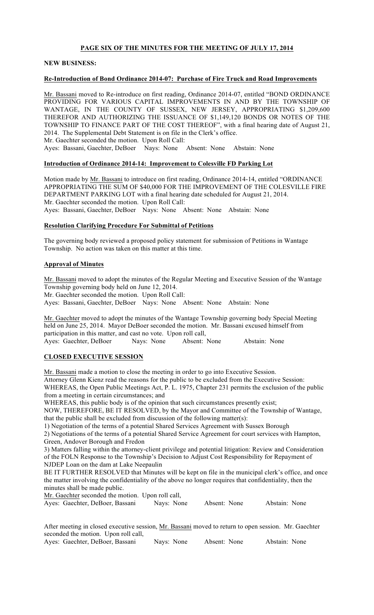## PAGE SIX OF THE MINUTES FOR THE MEETING OF JULY 17, 2014

### NEW BUSINESS:

## Re-Introduction of Bond Ordinance 2014-07: Purchase of Fire Truck and Road Improvements

Mr. Bassani moved to Re-introduce on first reading, Ordinance 2014-07, entitled "BOND ORDINANCE PROVIDING FOR VARIOUS CAPITAL IMPROVEMENTS IN AND BY THE TOWNSHIP OF WANTAGE, IN THE COUNTY OF SUSSEX, NEW JERSEY, APPROPRIATING \$1,209,600 THEREFOR AND AUTHORIZING THE ISSUANCE OF \$1,149,120 BONDS OR NOTES OF THE TOWNSHIP TO FINANCE PART OF THE COST THEREOF", with a final hearing date of August 21, 2014. The Supplemental Debt Statement is on file in the Clerk's office. Mr. Gaechter seconded the motion. Upon Roll Call: Ayes: Bassani, Gaechter, DeBoer Nays: None Absent: None Abstain: None

### Introduction of Ordinance 2014-14: Improvement to Colesville FD Parking Lot

Motion made by Mr. Bassani to introduce on first reading, Ordinance 2014-14, entitled "ORDINANCE APPROPRIATING THE SUM OF \$40,000 FOR THE IMPROVEMENT OF THE COLESVILLE FIRE DEPARTMENT PARKING LOT with a final hearing date scheduled for August 21, 2014. Mr. Gaechter seconded the motion. Upon Roll Call: Ayes: Bassani, Gaechter, DeBoer Nays: None Absent: None Abstain: None

### Resolution Clarifying Procedure For Submittal of Petitions

The governing body reviewed a proposed policy statement for submission of Petitions in Wantage Township. No action was taken on this matter at this time.

### Approval of Minutes

Mr. Bassani moved to adopt the minutes of the Regular Meeting and Executive Session of the Wantage Township governing body held on June 12, 2014.

Mr. Gaechter seconded the motion. Upon Roll Call:

Ayes: Bassani, Gaechter, DeBoer Nays: None Absent: None Abstain: None

Mr. Gaechter moved to adopt the minutes of the Wantage Township governing body Special Meeting held on June 25, 2014. Mayor DeBoer seconded the motion. Mr. Bassani excused himself from participation in this matter, and cast no vote. Upon roll call, Ayes: Gaechter, DeBoer Nays: None Absent: None Abstain: None

## CLOSED EXECUTIVE SESSION

Mr. Bassani made a motion to close the meeting in order to go into Executive Session. Attorney Glenn Kienz read the reasons for the public to be excluded from the Executive Session: WHEREAS, the Open Public Meetings Act, P. L. 1975, Chapter 231 permits the exclusion of the public from a meeting in certain circumstances; and

WHEREAS, this public body is of the opinion that such circumstances presently exist;

NOW, THEREFORE, BE IT RESOLVED, by the Mayor and Committee of the Township of Wantage, that the public shall be excluded from discussion of the following matter(s):

1) Negotiation of the terms of a potential Shared Services Agreement with Sussex Borough

2) Negotiations of the terms of a potential Shared Service Agreement for court services with Hampton, Green, Andover Borough and Fredon

3) Matters falling within the attorney-client privilege and potential litigation: Review and Consideration of the FOLN Response to the Township's Decision to Adjust Cost Responsibility for Repayment of NJDEP Loan on the dam at Lake Neepaulin

BE IT FURTHER RESOLVED that Minutes will be kept on file in the municipal clerk's office, and once the matter involving the confidentiality of the above no longer requires that confidentiality, then the minutes shall be made public.

Mr. Gaechter seconded the motion. Upon roll call,

|  | Ayes: Gaechter, DeBoer, Bassani | Nays: None | Absent: None | Abstain: None |
|--|---------------------------------|------------|--------------|---------------|
|--|---------------------------------|------------|--------------|---------------|

| After meeting in closed executive session, Mr. Bassani moved to return to open session. Mr. Gaechter |            |              |               |
|------------------------------------------------------------------------------------------------------|------------|--------------|---------------|
| seconded the motion. Upon roll call,                                                                 |            |              |               |
| Ayes: Gaechter, DeBoer, Bassani                                                                      | Navs: None | Absent: None | Abstain: None |